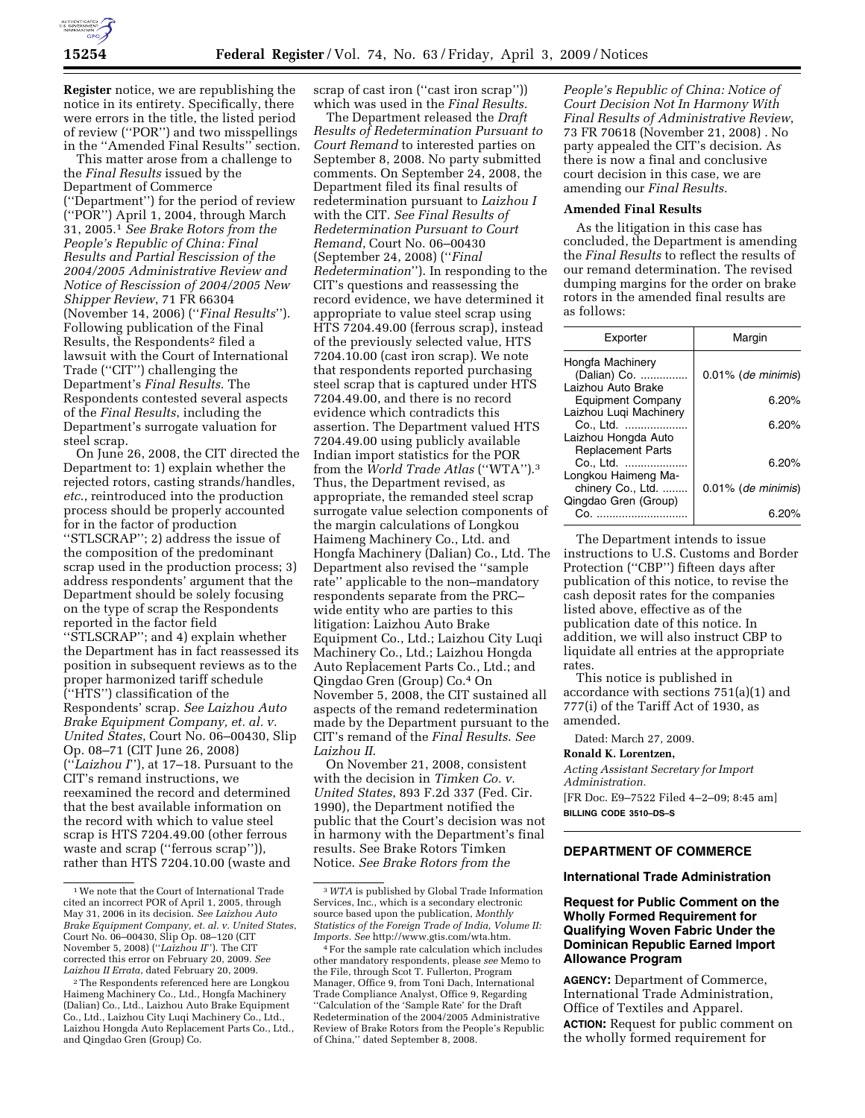**Register** notice, we are republishing the notice in its entirety. Specifically, there were errors in the title, the listed period of review (''POR'') and two misspellings in the ''Amended Final Results'' section.

This matter arose from a challenge to the *Final Results* issued by the Department of Commerce (''Department'') for the period of review (''POR'') April 1, 2004, through March 31, 2005.1 *See Brake Rotors from the People's Republic of China: Final Results and Partial Rescission of the 2004/2005 Administrative Review and Notice of Rescission of 2004/2005 New Shipper Review*, 71 FR 66304 (November 14, 2006) (''*Final Results*''). Following publication of the Final Results, the Respondents2 filed a lawsuit with the Court of International Trade (''CIT'') challenging the Department's *Final Results*. The Respondents contested several aspects of the *Final Results*, including the Department's surrogate valuation for steel scrap.

On June 26, 2008, the CIT directed the Department to: 1) explain whether the rejected rotors, casting strands/handles, *etc*., reintroduced into the production process should be properly accounted for in the factor of production ''STLSCRAP''; 2) address the issue of the composition of the predominant scrap used in the production process; 3) address respondents' argument that the Department should be solely focusing on the type of scrap the Respondents reported in the factor field ''STLSCRAP''; and 4) explain whether the Department has in fact reassessed its position in subsequent reviews as to the proper harmonized tariff schedule (''HTS'') classification of the Respondents' scrap. *See Laizhou Auto Brake Equipment Company, et. al. v. United States*, Court No. 06–00430, Slip Op. 08–71 (CIT June 26, 2008) (''*Laizhou I*''), at 17–18. Pursuant to the CIT's remand instructions, we reexamined the record and determined that the best available information on the record with which to value steel scrap is HTS 7204.49.00 (other ferrous waste and scrap (''ferrous scrap'')), rather than HTS 7204.10.00 (waste and

scrap of cast iron ("cast iron scrap") which was used in the *Final Results*.

The Department released the *Draft Results of Redetermination Pursuant to Court Remand* to interested parties on September 8, 2008. No party submitted comments. On September 24, 2008, the Department filed its final results of redetermination pursuant to *Laizhou I*  with the CIT. *See Final Results of Redetermination Pursuant to Court Remand*, Court No. 06–00430 (September 24, 2008) (''*Final Redetermination*''). In responding to the CIT's questions and reassessing the record evidence, we have determined it appropriate to value steel scrap using HTS 7204.49.00 (ferrous scrap), instead of the previously selected value, HTS 7204.10.00 (cast iron scrap). We note that respondents reported purchasing steel scrap that is captured under HTS 7204.49.00, and there is no record evidence which contradicts this assertion. The Department valued HTS 7204.49.00 using publicly available Indian import statistics for the POR from the *World Trade Atlas* (''WTA'').3 Thus, the Department revised, as appropriate, the remanded steel scrap surrogate value selection components of the margin calculations of Longkou Haimeng Machinery Co., Ltd. and Hongfa Machinery (Dalian) Co., Ltd. The Department also revised the ''sample rate'' applicable to the non–mandatory respondents separate from the PRC– wide entity who are parties to this litigation: Laizhou Auto Brake Equipment Co., Ltd.; Laizhou City Luqi Machinery Co., Ltd.; Laizhou Hongda Auto Replacement Parts Co., Ltd.; and Qingdao Gren (Group) Co.4 On November 5, 2008, the CIT sustained all aspects of the remand redetermination made by the Department pursuant to the CIT's remand of the *Final Results*. *See Laizhou II*.

On November 21, 2008, consistent with the decision in *Timken Co. v. United States*, 893 F.2d 337 (Fed. Cir. 1990), the Department notified the public that the Court's decision was not in harmony with the Department's final results. See Brake Rotors Timken Notice. *See Brake Rotors from the* 

*People's Republic of China: Notice of Court Decision Not In Harmony With Final Results of Administrative Review*, 73 FR 70618 (November 21, 2008) . No party appealed the CIT's decision. As there is now a final and conclusive court decision in this case, we are amending our *Final Results*.

#### **Amended Final Results**

As the litigation in this case has concluded, the Department is amending the *Final Results* to reflect the results of our remand determination. The revised dumping margins for the order on brake rotors in the amended final results are as follows:

| Exporter                                                     | Margin                |
|--------------------------------------------------------------|-----------------------|
| Hongfa Machinery<br>(Dalian) Co.<br>Laizhou Auto Brake       | $0.01\%$ (de minimis) |
| <b>Equipment Company</b>                                     | 6.20%                 |
| Laizhou Lugi Machinery                                       | 6.20%                 |
| Co., Ltd.<br>Laizhou Hongda Auto                             |                       |
| <b>Replacement Parts</b><br>Co., Ltd.<br>Longkou Haimeng Ma- | 6.20%                 |
| chinery Co., Ltd.                                            | $0.01\%$ (de minimis) |
| Qingdao Gren (Group)                                         | 6.20%                 |

The Department intends to issue instructions to U.S. Customs and Border Protection (''CBP'') fifteen days after publication of this notice, to revise the cash deposit rates for the companies listed above, effective as of the publication date of this notice. In addition, we will also instruct CBP to liquidate all entries at the appropriate rates.

This notice is published in accordance with sections 751(a)(1) and 777(i) of the Tariff Act of 1930, as amended.

Dated: March 27, 2009.

#### **Ronald K. Lorentzen,**

*Acting Assistant Secretary for Import Administration.*  [FR Doc. E9–7522 Filed 4–2–09; 8:45 am] **BILLING CODE 3510–DS–S** 

# **DEPARTMENT OF COMMERCE**

### **International Trade Administration**

## **Request for Public Comment on the Wholly Formed Requirement for Qualifying Woven Fabric Under the Dominican Republic Earned Import Allowance Program**

**AGENCY:** Department of Commerce, International Trade Administration, Office of Textiles and Apparel. **ACTION:** Request for public comment on the wholly formed requirement for

<sup>1</sup>We note that the Court of International Trade cited an incorrect POR of April 1, 2005, through May 31, 2006 in its decision. *See Laizhou Auto Brake Equipment Company, et. al. v. United States*, Court No. 06–00430, Slip Op. 08–120 (CIT November 5, 2008) (''*Laizhou II*''). The CIT corrected this error on February 20, 2009. *See Laizhou II Errata*, dated February 20, 2009.

<sup>2</sup>The Respondents referenced here are Longkou Haimeng Machinery Co., Ltd., Hongfa Machinery (Dalian) Co., Ltd., Laizhou Auto Brake Equipment Co., Ltd., Laizhou City Luqi Machinery Co., Ltd., Laizhou Hongda Auto Replacement Parts Co., Ltd., and Qingdao Gren (Group) Co.

<sup>3</sup>*WTA* is published by Global Trade Information Services, Inc., which is a secondary electronic source based upon the publication, *Monthly Statistics of the Foreign Trade of India, Volume II: Imports. See* http://www.gtis.com/wta.htm.

<sup>4</sup>For the sample rate calculation which includes other mandatory respondents, please *see* Memo to the File, through Scot T. Fullerton, Program Manager, Office 9, from Toni Dach, International Trade Compliance Analyst, Office 9, Regarding ''Calculation of the 'Sample Rate' for the Draft Redetermination of the 2004/2005 Administrative Review of Brake Rotors from the People's Republic of China,'' dated September 8, 2008.